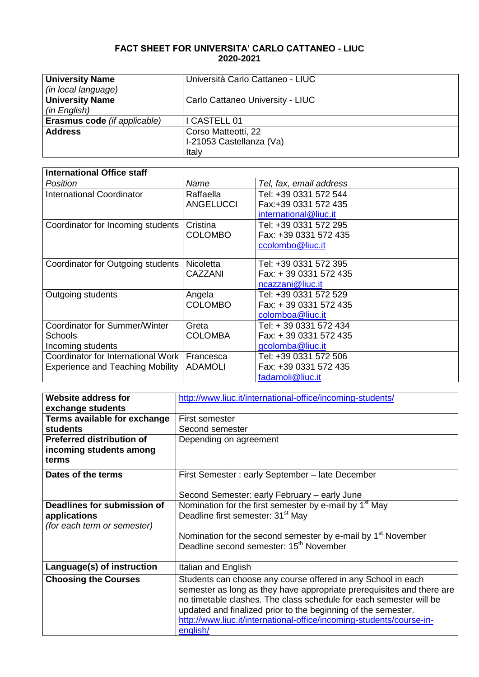## **FACT SHEET FOR UNIVERSITA' CARLO CATTANEO - LIUC 2020-2021**

| <b>University Name</b>       | Università Carlo Cattaneo - LIUC |
|------------------------------|----------------------------------|
| (in local language)          |                                  |
| <b>University Name</b>       | Carlo Cattaneo University - LIUC |
| (in English)                 |                                  |
| Erasmus code (if applicable) | CASTELL 01                       |
| <b>Address</b>               | Corso Matteotti, 22              |
|                              | I-21053 Castellanza (Va)         |
|                              | Italy                            |

| <b>International Office staff</b>       |                  |                         |
|-----------------------------------------|------------------|-------------------------|
| Position                                | Name             | Tel, fax, email address |
| International Coordinator               | Raffaella        | Tel: +39 0331 572 544   |
|                                         | <b>ANGELUCCI</b> | Fax:+39 0331 572 435    |
|                                         |                  | international@liuc.it   |
| Coordinator for Incoming students       | Cristina         | Tel: +39 0331 572 295   |
|                                         | <b>COLOMBO</b>   | Fax: +39 0331 572 435   |
|                                         |                  | ccolombo@liuc.it        |
|                                         |                  |                         |
| Coordinator for Outgoing students       | <b>Nicoletta</b> | Tel: +39 0331 572 395   |
|                                         | CAZZANI          | Fax: +39 0331 572 435   |
|                                         |                  | ncazzani@liuc.it        |
| Outgoing students                       | Angela           | Tel: +39 0331 572 529   |
|                                         | <b>COLOMBO</b>   | Fax: +39 0331 572 435   |
|                                         |                  | colomboa@liuc.it        |
| Coordinator for Summer/Winter           | Greta            | Tel: + 39 0331 572 434  |
| <b>Schools</b>                          | <b>COLOMBA</b>   | Fax: +39 0331 572 435   |
| Incoming students                       |                  | gcolomba@liuc.it        |
| Coordinator for International Work      | Francesca        | Tel: +39 0331 572 506   |
| <b>Experience and Teaching Mobility</b> | <b>ADAMOLI</b>   | Fax: +39 0331 572 435   |
|                                         |                  | fadamoli@liuc.it        |

| <b>Website address for</b>       | http://www.liuc.it/international-office/incoming-students/            |  |  |
|----------------------------------|-----------------------------------------------------------------------|--|--|
| exchange students                |                                                                       |  |  |
| Terms available for exchange     | First semester                                                        |  |  |
| <b>students</b>                  | Second semester                                                       |  |  |
| <b>Preferred distribution of</b> | Depending on agreement                                                |  |  |
| incoming students among          |                                                                       |  |  |
| terms                            |                                                                       |  |  |
| Dates of the terms               | First Semester: early September - late December                       |  |  |
|                                  | Second Semester: early February – early June                          |  |  |
| Deadlines for submission of      | Nomination for the first semester by e-mail by 1 <sup>st</sup> May    |  |  |
| applications                     | Deadline first semester: 31 <sup>st</sup> May                         |  |  |
| (for each term or semester)      |                                                                       |  |  |
|                                  | Nomination for the second semester by e-mail by $1st$ November        |  |  |
|                                  | Deadline second semester: 15 <sup>th</sup> November                   |  |  |
|                                  |                                                                       |  |  |
| Language(s) of instruction       | Italian and English                                                   |  |  |
| <b>Choosing the Courses</b>      | Students can choose any course offered in any School in each          |  |  |
|                                  | semester as long as they have appropriate prerequisites and there are |  |  |
|                                  | no timetable clashes. The class schedule for each semester will be    |  |  |
|                                  | updated and finalized prior to the beginning of the semester.         |  |  |
|                                  | http://www.liuc.it/international-office/incoming-students/course-in-  |  |  |
|                                  | english/                                                              |  |  |